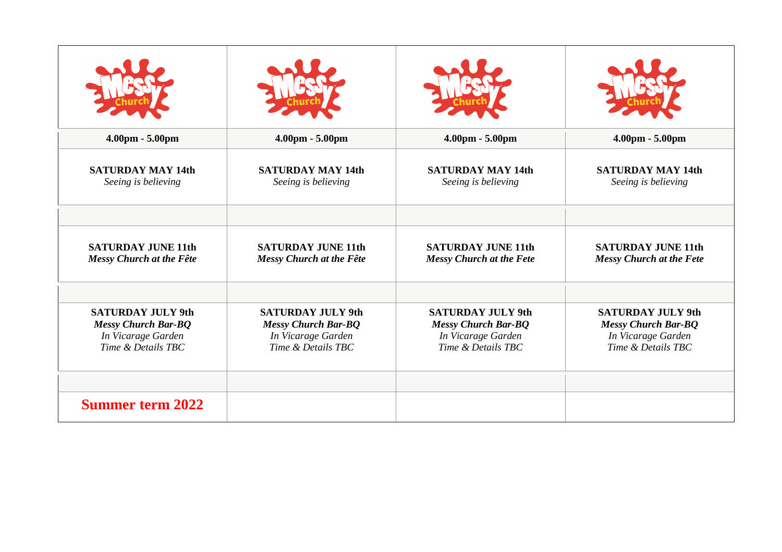| 4.00pm - 5.00pm            | 4.00pm - 5.00pm            | $4.00 \text{pm} - 5.00 \text{pm}$ | $4.00pm - 5.00pm$               |
|----------------------------|----------------------------|-----------------------------------|---------------------------------|
| <b>SATURDAY MAY 14th</b>   | <b>SATURDAY MAY 14th</b>   | <b>SATURDAY MAY 14th</b>          | <b>SATURDAY MAY 14th</b>        |
| Seeing is believing        | Seeing is believing        | Seeing is believing               | Seeing is believing             |
| <b>SATURDAY JUNE 11th</b>  | <b>SATURDAY JUNE 11th</b>  | <b>SATURDAY JUNE 11th</b>         | <b>SATURDAY JUNE 11th</b>       |
| Messy Church at the Fête   | Messy Church at the Fête   | <b>Messy Church at the Fete</b>   | <b>Messy Church at the Fete</b> |
| <b>SATURDAY JULY 9th</b>   | <b>SATURDAY JULY 9th</b>   | <b>SATURDAY JULY 9th</b>          | <b>SATURDAY JULY 9th</b>        |
| <b>Messy Church Bar-BQ</b> | <b>Messy Church Bar-BQ</b> | <b>Messy Church Bar-BQ</b>        | <b>Messy Church Bar-BQ</b>      |
| In Vicarage Garden         | In Vicarage Garden         | In Vicarage Garden                | In Vicarage Garden              |
| Time & Details TBC         | Time & Details TBC         | Time & Details TBC                | Time & Details TBC              |
| <b>Summer term 2022</b>    |                            |                                   |                                 |